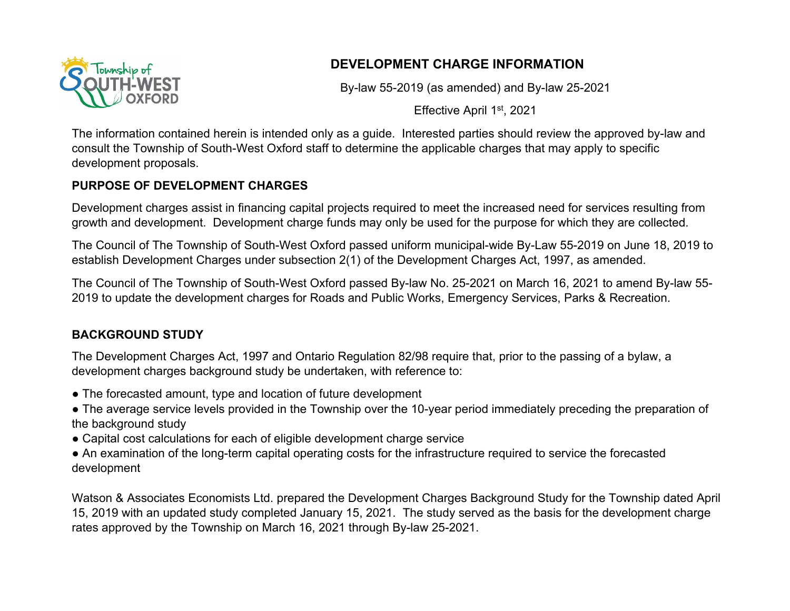

# **DEVELOPMENT CHARGE INFORMATION**

By-law 55-2019 (as amended) and By-law 25-2021

Effective April 1st, 2021

The information contained herein is intended only as a guide. Interested parties should review the approved by-law and consult the Township of South-West Oxford staff to determine the applicable charges that may apply to specific development proposals.

## **PURPOSE OF DEVELOPMENT CHARGES**

Development charges assist in financing capital projects required to meet the increased need for services resulting from growth and development. Development charge funds may only be used for the purpose for which they are collected.

The Council of The Township of South-West Oxford passed uniform municipal-wide By-Law 55-2019 on June 18, 2019 to establish Development Charges under subsection 2(1) of the Development Charges Act, 1997, as amended.

The Council of The Township of South-West Oxford passed By-law No. 25-2021 on March 16, 2021 to amend By-law 55- 2019 to update the development charges for Roads and Public Works, Emergency Services, Parks & Recreation.

## **BACKGROUND STUDY**

The Development Charges Act, 1997 and Ontario Regulation 82/98 require that, prior to the passing of a bylaw, a development charges background study be undertaken, with reference to:

- The forecasted amount, type and location of future development
- The average service levels provided in the Township over the 10-year period immediately preceding the preparation of the background study
- Capital cost calculations for each of eligible development charge service
- An examination of the long-term capital operating costs for the infrastructure required to service the forecasted development

Watson & Associates Economists Ltd. prepared the Development Charges Background Study for the Township dated April 15, 2019 with an updated study completed January 15, 2021. The study served as the basis for the development charge rates approved by the Township on March 16, 2021 through By-law 25-2021.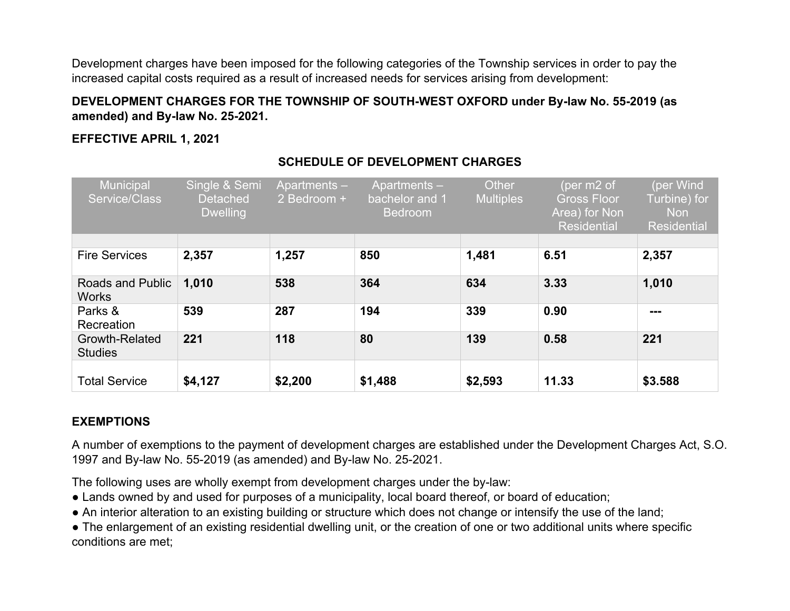Development charges have been imposed for the following categories of the Township services in order to pay the increased capital costs required as a result of increased needs for services arising from development:

#### **DEVELOPMENT CHARGES FOR THE TOWNSHIP OF SOUTH-WEST OXFORD under By-law No. 55-2019 (as amended) and By-law No. 25-2021.**

#### **EFFECTIVE APRIL 1, 2021**

| <b>Municipal</b><br>Service/Class | Single & Semi<br><b>Detached</b><br><b>Dwelling</b> | Apartments-<br>2 Bedroom + | Apartments-<br>bachelor and 1<br><b>Bedroom</b> | Other<br><b>Multiples</b> | (per m2 of<br><b>Gross Floor</b><br>Area) for Non<br><b>Residential</b> | (per Wind<br>Turbine) for<br><b>Non</b><br><b>Residential</b> |
|-----------------------------------|-----------------------------------------------------|----------------------------|-------------------------------------------------|---------------------------|-------------------------------------------------------------------------|---------------------------------------------------------------|
| <b>Fire Services</b>              |                                                     |                            | 850                                             |                           | 6.51                                                                    |                                                               |
|                                   | 2,357                                               | 1,257                      |                                                 | 1,481                     |                                                                         | 2,357                                                         |
| Roads and Public<br><b>Works</b>  | 1,010                                               | 538                        | 364                                             | 634                       | 3.33                                                                    | 1,010                                                         |
| Parks &<br>Recreation             | 539                                                 | 287                        | 194                                             | 339                       | 0.90                                                                    | ---                                                           |
| Growth-Related<br><b>Studies</b>  | 221                                                 | 118                        | 80                                              | 139                       | 0.58                                                                    | 221                                                           |
| <b>Total Service</b>              | \$4,127                                             | \$2,200                    | \$1,488                                         | \$2,593                   | 11.33                                                                   | \$3.588                                                       |

## **SCHEDULE OF DEVELOPMENT CHARGES**

## **EXEMPTIONS**

A number of exemptions to the payment of development charges are established under the Development Charges Act, S.O. 1997 and By-law No. 55-2019 (as amended) and By-law No. 25-2021.

The following uses are wholly exempt from development charges under the by-law:

- Lands owned by and used for purposes of a municipality, local board thereof, or board of education;
- An interior alteration to an existing building or structure which does not change or intensify the use of the land;

• The enlargement of an existing residential dwelling unit, or the creation of one or two additional units where specific conditions are met;